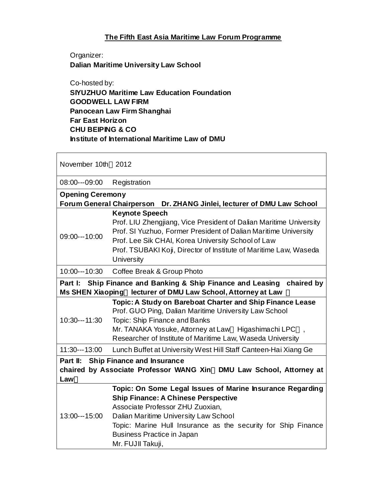## **The Fifth East Asia Maritime Law Forum Programme**

Organizer: **Dalian Maritime University Law School** 

Co-hosted by: **SIYUZHUO Maritime Law Education Foundation GOODWELL LAW FIRM Panocean Law Firm Shanghai Far East Horizon CHU BEIPING & CO Institute of International Maritime Law of DMU** 

November 10th 2012

08:00---09:00 Registration

| <b>Opening Ceremony</b>                                                                                                                          |                                                                                                                                                                                                                                                                                                                 |  |
|--------------------------------------------------------------------------------------------------------------------------------------------------|-----------------------------------------------------------------------------------------------------------------------------------------------------------------------------------------------------------------------------------------------------------------------------------------------------------------|--|
| Forum General Chairperson Dr. ZHANG Jinlei, lecturer of DMU Law School                                                                           |                                                                                                                                                                                                                                                                                                                 |  |
| 09:00---10:00                                                                                                                                    | <b>Keynote Speech</b><br>Prof. LIU Zhengjiang, Vice President of Dalian Maritime University<br>Prof. SI Yuzhuo, Former President of Dalian Maritime University<br>Prof. Lee Sik CHAI, Korea University School of Law<br>Prof. TSUBAKI Koji, Director of Institute of Maritime Law, Waseda<br>University         |  |
| 10:00---10:30                                                                                                                                    | Coffee Break & Group Photo                                                                                                                                                                                                                                                                                      |  |
| Part I: Ship Finance and Banking & Ship Finance and Leasing chaired by<br><b>Ms SHEN Xiaoping</b><br>lecturer of DMU Law School, Attorney at Law |                                                                                                                                                                                                                                                                                                                 |  |
| 10:30---11:30                                                                                                                                    | Topic: A Study on Bareboat Charter and Ship Finance Lease<br>Prof. GUO Ping, Dalian Maritime University Law School<br>Topic: Ship Finance and Banks<br>Mr. TANAKA Yosuke, Attorney at Law Higashimachi LPC<br>Researcher of Institute of Maritime Law, Waseda University                                        |  |
| 11:30---13:00                                                                                                                                    | Lunch Buffet at University West Hill Staff Canteen-Hai Xiang Ge                                                                                                                                                                                                                                                 |  |
| Part II: Ship Finance and Insurance<br>chaired by Associate Professor WANG Xin DMU Law School, Attorney at                                       |                                                                                                                                                                                                                                                                                                                 |  |
| Law                                                                                                                                              |                                                                                                                                                                                                                                                                                                                 |  |
| 13:00---15:00                                                                                                                                    | Topic: On Some Legal Issues of Marine Insurance Regarding<br><b>Ship Finance: A Chinese Perspective</b><br>Associate Professor ZHU Zuoxian,<br>Dalian Maritime University Law School<br>Topic: Marine Hull Insurance as the security for Ship Finance<br><b>Business Practice in Japan</b><br>Mr. FUJII Takuji, |  |